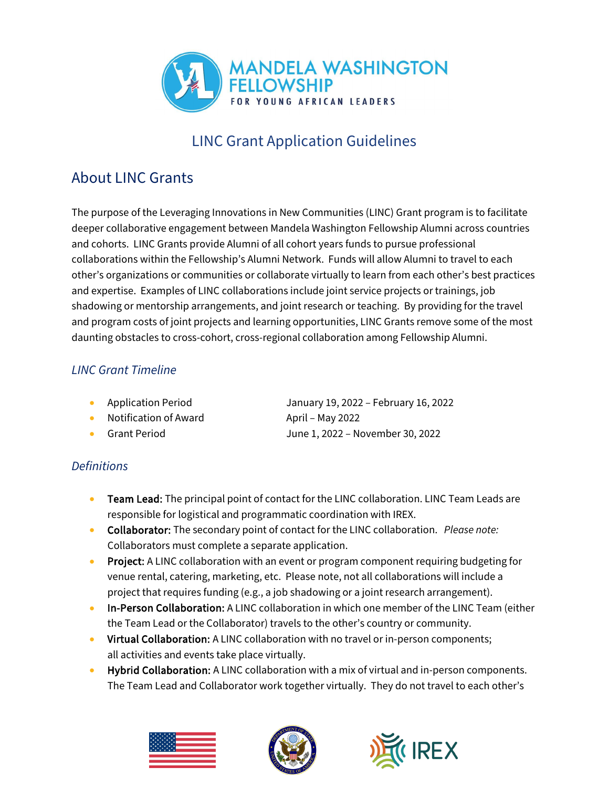

# LINC Grant Application Guidelines

### About LINC Grants

The purpose of the Leveraging Innovations in New Communities (LINC) Grant program is to facilitate deeper collaborative engagement between Mandela Washington Fellowship Alumni across countries and cohorts. LINC Grants provide Alumni of all cohort years funds to pursue professional collaborations within the Fellowship's Alumni Network. Funds will allow Alumni to travel to each other's organizations or communities or collaborate virtually to learn from each other's best practices and expertise. Examples of LINC collaborations include joint service projects or trainings, job shadowing or mentorship arrangements, and joint research or teaching. By providing for the travel and program costs of joint projects and learning opportunities, LINC Grants remove some of the most daunting obstacles to cross-cohort, cross-regional collaboration among Fellowship Alumni.

#### *LINC Grant Timeline*

- 
- Notification of Award April May 2022
- 

• Application Period January 19, 2022 – February 16, 2022 • Grant Period June 1, 2022 – November 30, 2022

#### *Definitions*

- Team Lead: The principal point of contact for the LINC collaboration. LINC Team Leads are responsible for logistical and programmatic coordination with IREX.
- Collaborator: The secondary point of contact for the LINC collaboration. *Please note:* Collaborators must complete a separate application.
- Project: A LINC collaboration with an event or program component requiring budgeting for venue rental, catering, marketing, etc. Please note, not all collaborations will include a project that requires funding (e.g., a job shadowing or a joint research arrangement).
- In-Person Collaboration: A LINC collaboration in which one member of the LINC Team (either the Team Lead or the Collaborator) travels to the other's country or community.
- Virtual Collaboration: A LINC collaboration with no travel or in-person components; all activities and events take place virtually.
- Hybrid Collaboration: A LINC collaboration with a mix of virtual and in-person components. The Team Lead and Collaborator work together virtually. They do not travel to each other's





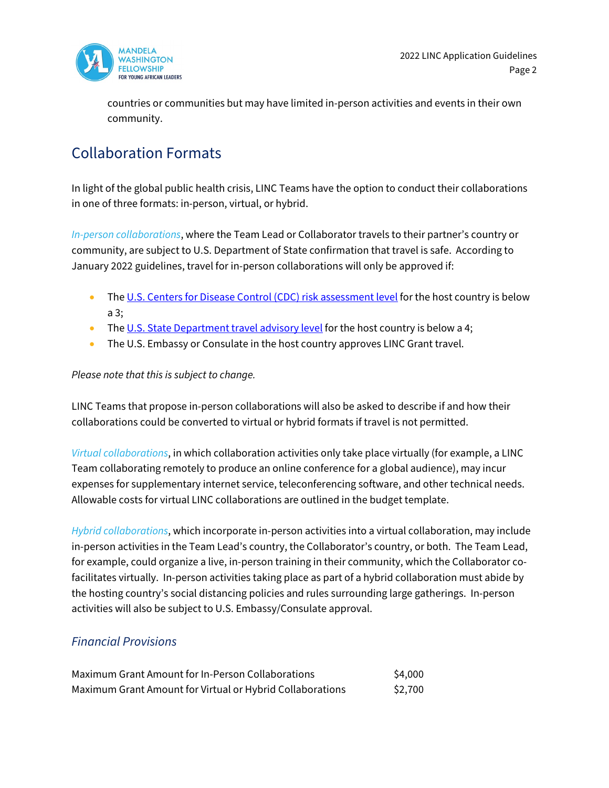

countries or communities but may have limited in-person activities and events in their own community.

#### Collaboration Formats

In light of the global public health crisis, LINC Teams have the option to conduct their collaborations in one of three formats: in-person, virtual, or hybrid.

*In-person collaborations*, where the Team Lead or Collaborator travels to their partner's country or community, are subject to U.S. Department of State confirmation that travel is safe. According to January 2022 guidelines, travel for in-person collaborations will only be approved if:

- The [U.S. Centers for Disease Control \(CDC\) risk assessment level](https://www.cdc.gov/coronavirus/2019-ncov/travelers/map-and-travel-notices.html) for the host country is below a 3;
- The [U.S. State Department travel advisory level](https://travel.state.gov/content/travel/en/traveladvisories/traveladvisories.html) for the host country is below a 4;
- The U.S. Embassy or Consulate in the host country approves LINC Grant travel.

#### *Please note that this is subject to change.*

LINC Teams that propose in-person collaborations will also be asked to describe if and how their collaborations could be converted to virtual or hybrid formats if travel is not permitted.

*Virtual collaborations*, in which collaboration activities only take place virtually (for example, a LINC Team collaborating remotely to produce an online conference for a global audience), may incur expenses for supplementary internet service, teleconferencing software, and other technical needs. Allowable costs for virtual LINC collaborations are outlined in the budget template.

*Hybrid collaborations*, which incorporate in-person activities into a virtual collaboration, may include in-person activities in the Team Lead's country, the Collaborator's country, or both. The Team Lead, for example, could organize a live, in-person training in their community, which the Collaborator cofacilitates virtually. In-person activities taking place as part of a hybrid collaboration must abide by the hosting country's social distancing policies and rules surrounding large gatherings. In-person activities will also be subject to U.S. Embassy/Consulate approval.

#### *Financial Provisions*

| Maximum Grant Amount for In-Person Collaborations         | \$4,000 |
|-----------------------------------------------------------|---------|
| Maximum Grant Amount for Virtual or Hybrid Collaborations | \$2,700 |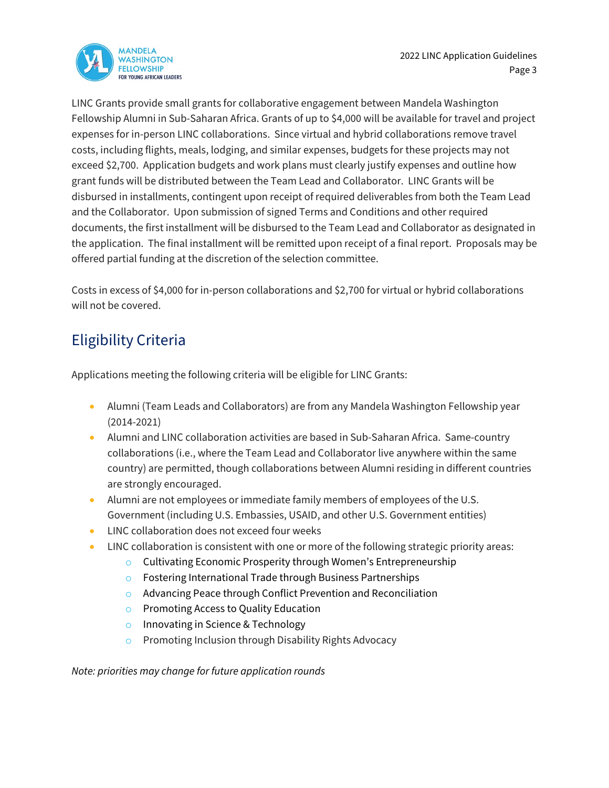

LINC Grants provide small grants for collaborative engagement between Mandela Washington Fellowship Alumni in Sub-Saharan Africa. Grants of up to \$4,000 will be available for travel and project expenses for in-person LINC collaborations. Since virtual and hybrid collaborations remove travel costs, including flights, meals, lodging, and similar expenses, budgets for these projects may not exceed \$2,700. Application budgets and work plans must clearly justify expenses and outline how grant funds will be distributed between the Team Lead and Collaborator. LINC Grants will be disbursed in installments, contingent upon receipt of required deliverables from both the Team Lead and the Collaborator. Upon submission of signed Terms and Conditions and other required documents, the first installment will be disbursed to the Team Lead and Collaborator as designated in the application. The final installment will be remitted upon receipt of a final report. Proposals may be offered partial funding at the discretion of the selection committee.

Costs in excess of \$4,000 for in-person collaborations and \$2,700 for virtual or hybrid collaborations will not be covered.

## Eligibility Criteria

Applications meeting the following criteria will be eligible for LINC Grants:

- Alumni (Team Leads and Collaborators) are from any Mandela Washington Fellowship year (2014-2021)
- Alumni and LINC collaboration activities are based in Sub-Saharan Africa. Same-country collaborations (i.e., where the Team Lead and Collaborator live anywhere within the same country) are permitted, though collaborations between Alumni residing in different countries are strongly encouraged.
- Alumni are not employees or immediate family members of employees of the U.S. Government (including U.S. Embassies, USAID, and other U.S. Government entities)
- LINC collaboration does not exceed four weeks
- LINC collaboration is consistent with one or more of the following strategic priority areas:
	- o Cultivating Economic Prosperity through Women's Entrepreneurship
	- o Fostering International Trade through Business Partnerships
	- o Advancing Peace through Conflict Prevention and Reconciliation
	- o Promoting Access to Quality Education
	- o Innovating in Science & Technology
	- o Promoting Inclusion through Disability Rights Advocacy

*Note: priorities may change for future application rounds*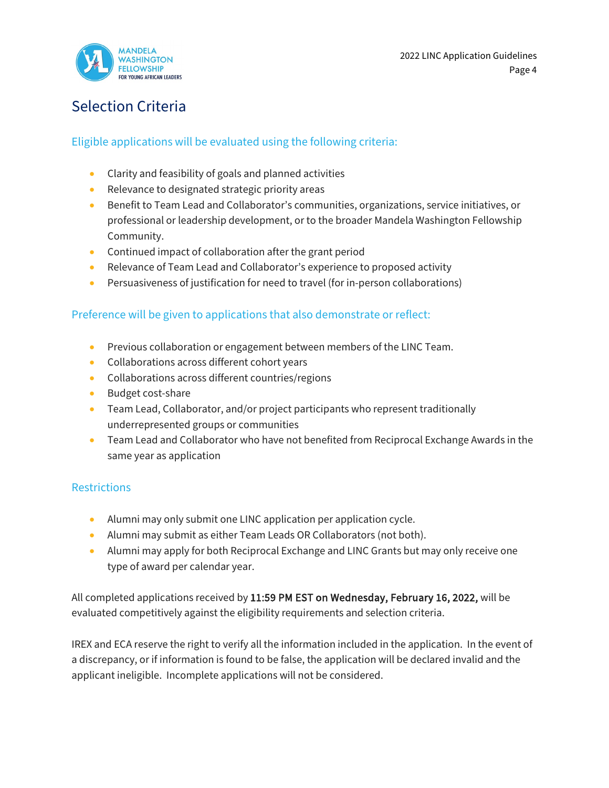

### Selection Criteria

#### Eligible applications will be evaluated using the following criteria:

- Clarity and feasibility of goals and planned activities
- Relevance to designated strategic priority areas
- Benefit to Team Lead and Collaborator's communities, organizations, service initiatives, or professional or leadership development, or to the broader Mandela Washington Fellowship Community.
- Continued impact of collaboration after the grant period
- Relevance of Team Lead and Collaborator's experience to proposed activity
- Persuasiveness of justification for need to travel (for in-person collaborations)

#### Preference will be given to applications that also demonstrate or reflect:

- Previous collaboration or engagement between members of the LINC Team.
- Collaborations across different cohort years
- Collaborations across different countries/regions
- Budget cost-share
- Team Lead, Collaborator, and/or project participants who represent traditionally underrepresented groups or communities
- Team Lead and Collaborator who have not benefited from Reciprocal Exchange Awards in the same year as application

#### **Restrictions**

- Alumni may only submit one LINC application per application cycle.
- Alumni may submit as either Team Leads OR Collaborators (not both).
- Alumni may apply for both Reciprocal Exchange and LINC Grants but may only receive one type of award per calendar year.

All completed applications received by 11:59 PM EST on Wednesday, February 16, 2022, will be evaluated competitively against the eligibility requirements and selection criteria.

IREX and ECA reserve the right to verify all the information included in the application. In the event of a discrepancy, or if information is found to be false, the application will be declared invalid and the applicant ineligible. Incomplete applications will not be considered.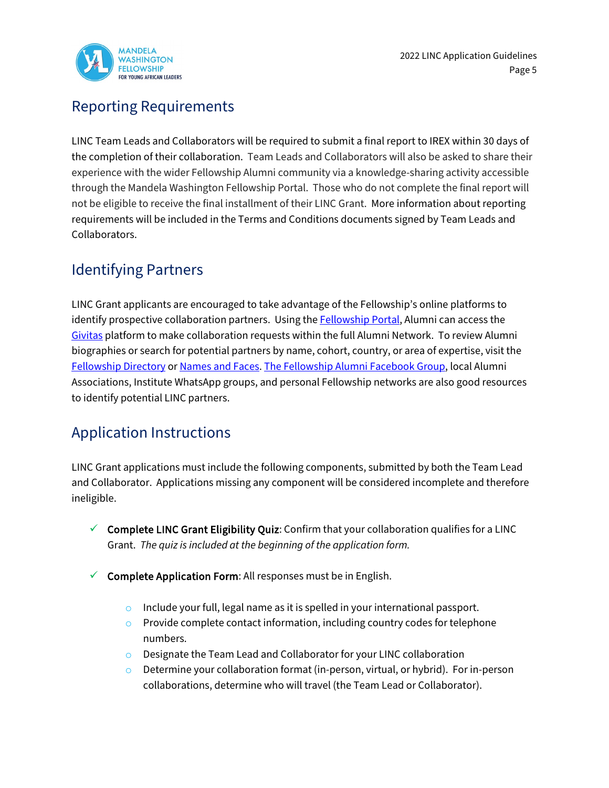

### Reporting Requirements

LINC Team Leads and Collaborators will be required to submit a final report to IREX within 30 days of the completion of their collaboration. Team Leads and Collaborators will also be asked to share their experience with the wider Fellowship Alumni community via a knowledge-sharing activity accessible through the Mandela Washington Fellowship Portal. Those who do not complete the final report will not be eligible to receive the final installment of their LINC Grant. More information about reporting requirements will be included in the Terms and Conditions documents signed by Team Leads and Collaborators.

### Identifying Partners

LINC Grant applicants are encouraged to take advantage of the Fellowship's online platforms to identify prospective collaboration partners. Using th[e Fellowship Portal,](https://www.mandelawashingtonfellowship.org/login/) Alumni can access the [Givitas](https://mwfellowship.givitas.com/) platform to make collaboration requests within the full Alumni Network. To review Alumni biographies or search for potential partners by name, cohort, country, or area of expertise, visit the [Fellowship Directory](https://www.mandelawashingtonfellowship.org/directory/) o[r Names and Faces.](https://go.namesandfaces.com/) [The Fellowship Alumni Facebook Group,](https://www.facebook.com/groups/MWFAlumniNetwork/) local Alumni Associations, Institute WhatsApp groups, and personal Fellowship networks are also good resources to identify potential LINC partners.

### Application Instructions

LINC Grant applications must include the following components, submitted by both the Team Lead and Collaborator. Applications missing any component will be considered incomplete and therefore ineligible.

- $\checkmark$  Complete LINC Grant Eligibility Quiz: Confirm that your collaboration qualifies for a LINC Grant. *The quiz is included at the beginning of the application form.*
- $\checkmark$  Complete Application Form: All responses must be in English.
	- $\circ$  Include your full, legal name as it is spelled in your international passport.
	- $\circ$  Provide complete contact information, including country codes for telephone numbers.
	- o Designate the Team Lead and Collaborator for your LINC collaboration
	- $\circ$  Determine your collaboration format (in-person, virtual, or hybrid). For in-person collaborations, determine who will travel (the Team Lead or Collaborator).